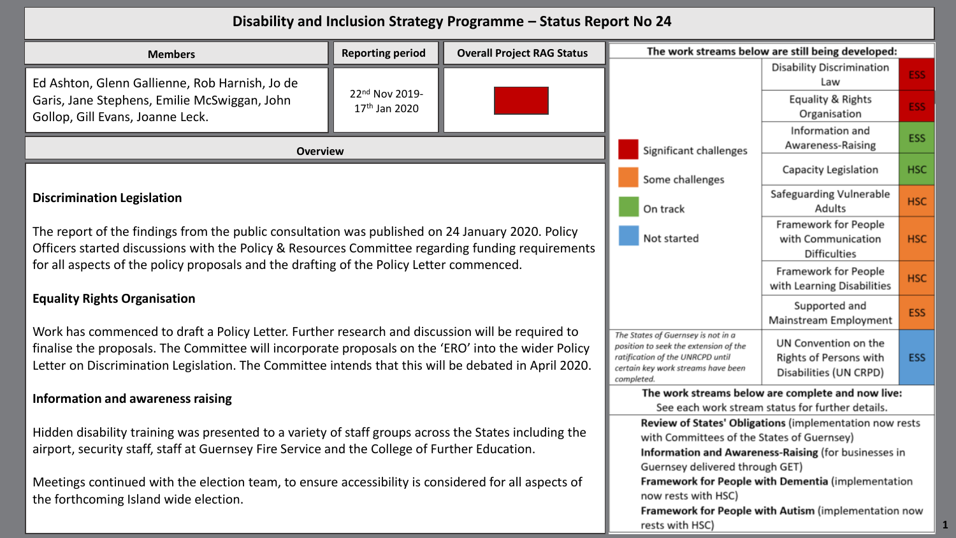| Disability and Inclusion Strategy Programme - Status Report No 24                                                                                                                                                                                                                                                                                                                                                                                                                                                                                                                                                                                                                                |                                             |  |                                                                                                                                                                                                  |                                                                          |            |
|--------------------------------------------------------------------------------------------------------------------------------------------------------------------------------------------------------------------------------------------------------------------------------------------------------------------------------------------------------------------------------------------------------------------------------------------------------------------------------------------------------------------------------------------------------------------------------------------------------------------------------------------------------------------------------------------------|---------------------------------------------|--|--------------------------------------------------------------------------------------------------------------------------------------------------------------------------------------------------|--------------------------------------------------------------------------|------------|
| <b>Reporting period</b><br><b>Overall Project RAG Status</b><br><b>Members</b>                                                                                                                                                                                                                                                                                                                                                                                                                                                                                                                                                                                                                   |                                             |  | The work streams below are still being developed:                                                                                                                                                |                                                                          |            |
| Ed Ashton, Glenn Gallienne, Rob Harnish, Jo de                                                                                                                                                                                                                                                                                                                                                                                                                                                                                                                                                                                                                                                   |                                             |  |                                                                                                                                                                                                  | <b>Disability Discrimination</b><br>Law                                  | ESS:       |
| Garis, Jane Stephens, Emilie McSwiggan, John<br>Gollop, Gill Evans, Joanne Leck.                                                                                                                                                                                                                                                                                                                                                                                                                                                                                                                                                                                                                 | 22nd Nov 2019-<br>17 <sup>th</sup> Jan 2020 |  |                                                                                                                                                                                                  | Equality & Rights<br>Organisation                                        | ESS:       |
| <b>Overview</b>                                                                                                                                                                                                                                                                                                                                                                                                                                                                                                                                                                                                                                                                                  |                                             |  | Significant challenges<br>Some challenges<br>On track<br>Not started                                                                                                                             | Information and<br>Awareness-Raising                                     | <b>ESS</b> |
| <b>Discrimination Legislation</b><br>The report of the findings from the public consultation was published on 24 January 2020. Policy<br>Officers started discussions with the Policy & Resources Committee regarding funding requirements<br>for all aspects of the policy proposals and the drafting of the Policy Letter commenced.<br><b>Equality Rights Organisation</b><br>Work has commenced to draft a Policy Letter. Further research and discussion will be required to<br>finalise the proposals. The Committee will incorporate proposals on the 'ERO' into the wider Policy<br>Letter on Discrimination Legislation. The Committee intends that this will be debated in April 2020. |                                             |  |                                                                                                                                                                                                  | Capacity Legislation                                                     | <b>HSC</b> |
|                                                                                                                                                                                                                                                                                                                                                                                                                                                                                                                                                                                                                                                                                                  |                                             |  |                                                                                                                                                                                                  | Safeguarding Vulnerable<br>Adults                                        | <b>HSC</b> |
|                                                                                                                                                                                                                                                                                                                                                                                                                                                                                                                                                                                                                                                                                                  |                                             |  |                                                                                                                                                                                                  | Framework for People<br>with Communication<br><b>Difficulties</b>        | <b>HSC</b> |
|                                                                                                                                                                                                                                                                                                                                                                                                                                                                                                                                                                                                                                                                                                  |                                             |  |                                                                                                                                                                                                  | Framework for People<br>with Learning Disabilities                       | <b>HSC</b> |
|                                                                                                                                                                                                                                                                                                                                                                                                                                                                                                                                                                                                                                                                                                  |                                             |  |                                                                                                                                                                                                  | Supported and<br>Mainstream Employment                                   | <b>ESS</b> |
|                                                                                                                                                                                                                                                                                                                                                                                                                                                                                                                                                                                                                                                                                                  |                                             |  | The States of Guernsey is not in a<br>position to seek the extension of the<br>ratification of the UNRCPD until<br>certain key work streams have been<br>completed.                              | UN Convention on the<br>Rights of Persons with<br>Disabilities (UN CRPD) | <b>ESS</b> |
| Information and awareness raising                                                                                                                                                                                                                                                                                                                                                                                                                                                                                                                                                                                                                                                                |                                             |  | The work streams below are complete and now live:<br>See each work stream status for further details.                                                                                            |                                                                          |            |
| Hidden disability training was presented to a variety of staff groups across the States including the<br>airport, security staff, staff at Guernsey Fire Service and the College of Further Education.                                                                                                                                                                                                                                                                                                                                                                                                                                                                                           |                                             |  | Review of States' Obligations (implementation now rests<br>with Committees of the States of Guernsey)<br>Information and Awareness-Raising (for businesses in<br>Guernsey delivered through GET) |                                                                          |            |
| Meetings continued with the election team, to ensure accessibility is considered for all aspects of<br>the forthcoming Island wide election.                                                                                                                                                                                                                                                                                                                                                                                                                                                                                                                                                     |                                             |  | Framework for People with Dementia (implementation<br>now rests with HSC)<br>Framework for People with Autism (implementation now<br>rests with HSC)                                             |                                                                          |            |

**1**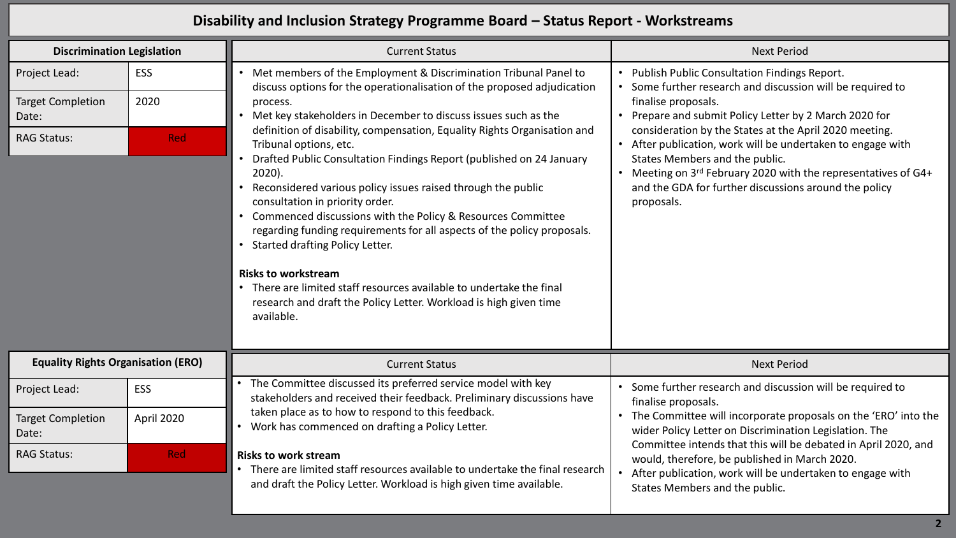## **Disability and Inclusion Strategy Programme Board – Status Report - Workstreams**

| <b>Discrimination Legislation</b>         |            | <b>Current Status</b>                                                                                                                                                                                                                                                                                                                                                                                                                                                                                                                                                                                                                                          | <b>Next Period</b>                                                                                                                                                                                                                                                                                                                                                                                                                                                                          |
|-------------------------------------------|------------|----------------------------------------------------------------------------------------------------------------------------------------------------------------------------------------------------------------------------------------------------------------------------------------------------------------------------------------------------------------------------------------------------------------------------------------------------------------------------------------------------------------------------------------------------------------------------------------------------------------------------------------------------------------|---------------------------------------------------------------------------------------------------------------------------------------------------------------------------------------------------------------------------------------------------------------------------------------------------------------------------------------------------------------------------------------------------------------------------------------------------------------------------------------------|
| Project Lead:                             | <b>ESS</b> | Met members of the Employment & Discrimination Tribunal Panel to<br>discuss options for the operationalisation of the proposed adjudication                                                                                                                                                                                                                                                                                                                                                                                                                                                                                                                    | • Publish Public Consultation Findings Report.<br>Some further research and discussion will be required to<br>finalise proposals.<br>Prepare and submit Policy Letter by 2 March 2020 for<br>consideration by the States at the April 2020 meeting.<br>• After publication, work will be undertaken to engage with<br>States Members and the public.<br>Meeting on 3rd February 2020 with the representatives of G4+<br>and the GDA for further discussions around the policy<br>proposals. |
| <b>Target Completion</b><br>Date:         | 2020       | process.<br>Met key stakeholders in December to discuss issues such as the                                                                                                                                                                                                                                                                                                                                                                                                                                                                                                                                                                                     |                                                                                                                                                                                                                                                                                                                                                                                                                                                                                             |
| <b>RAG Status:</b>                        | <b>Red</b> | definition of disability, compensation, Equality Rights Organisation and<br>Tribunal options, etc.<br>Drafted Public Consultation Findings Report (published on 24 January<br>$2020$ ).<br>Reconsidered various policy issues raised through the public<br>consultation in priority order.<br>Commenced discussions with the Policy & Resources Committee<br>regarding funding requirements for all aspects of the policy proposals.<br>Started drafting Policy Letter.<br><b>Risks to workstream</b><br>There are limited staff resources available to undertake the final<br>research and draft the Policy Letter. Workload is high given time<br>available. |                                                                                                                                                                                                                                                                                                                                                                                                                                                                                             |
| <b>Equality Rights Organisation (ERO)</b> |            | <b>Current Status</b>                                                                                                                                                                                                                                                                                                                                                                                                                                                                                                                                                                                                                                          | <b>Next Period</b>                                                                                                                                                                                                                                                                                                                                                                                                                                                                          |
| Project Lead:                             | ESS        | The Committee discussed its preferred service model with key<br>stakeholders and received their feedback. Preliminary discussions have                                                                                                                                                                                                                                                                                                                                                                                                                                                                                                                         | Some further research and discussion will be required to<br>finalise proposals.                                                                                                                                                                                                                                                                                                                                                                                                             |
| <b>Target Completion</b><br>Date:         | April 2020 | taken place as to how to respond to this feedback.<br>Work has commenced on drafting a Policy Letter.                                                                                                                                                                                                                                                                                                                                                                                                                                                                                                                                                          | The Committee will incorporate proposals on the 'ERO' into the<br>wider Policy Letter on Discrimination Legislation. The<br>Committee intends that this will be debated in April 2020, and<br>would, therefore, be published in March 2020.<br>After publication, work will be undertaken to engage with<br>States Members and the public.                                                                                                                                                  |
| <b>RAG Status:</b>                        | <b>Red</b> | <b>Risks to work stream</b><br>There are limited staff resources available to undertake the final research<br>and draft the Policy Letter. Workload is high given time available.                                                                                                                                                                                                                                                                                                                                                                                                                                                                              |                                                                                                                                                                                                                                                                                                                                                                                                                                                                                             |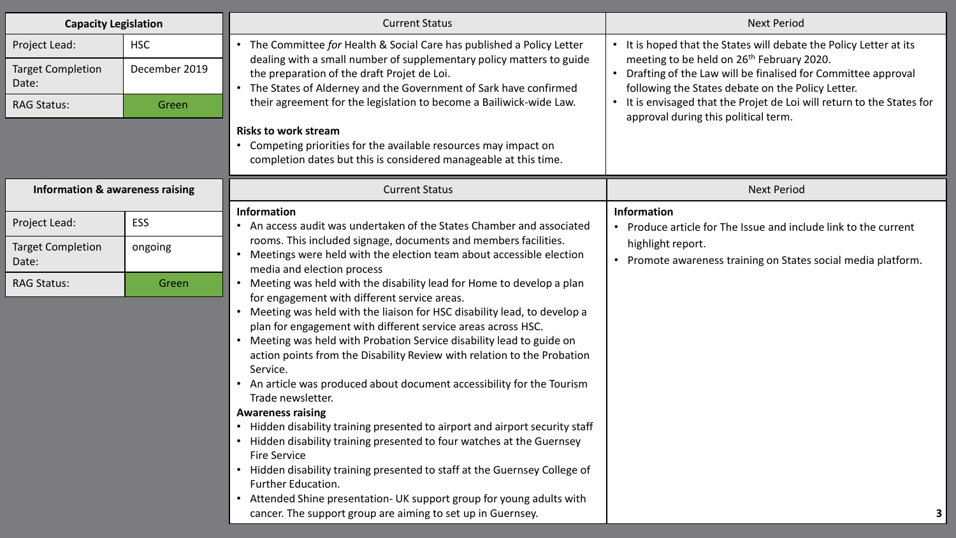| <b>Capacity Legislation</b>                |               | <b>Current Status</b>                                                                                                                          | <b>Next Period</b>                                                                                                          |
|--------------------------------------------|---------------|------------------------------------------------------------------------------------------------------------------------------------------------|-----------------------------------------------------------------------------------------------------------------------------|
| Project Lead:                              | <b>HSC</b>    | • The Committee for Health & Social Care has published a Policy Letter<br>dealing with a small number of supplementary policy matters to guide | • It is hoped that the States will debate the Policy Letter at its<br>meeting to be held on 26 <sup>th</sup> February 2020. |
| <b>Target Completion</b><br>Date:          | December 2019 | the preparation of the draft Projet de Loi.<br>• The States of Alderney and the Government of Sark have confirmed                              | Drafting of the Law will be finalised for Committee approval<br>following the States debate on the Policy Letter.           |
| <b>RAG Status:</b>                         | Green         | their agreement for the legislation to become a Bailiwick-wide Law.                                                                            | • It is envisaged that the Projet de Loi will return to the States for<br>approval during this political term.              |
|                                            |               | <b>Risks to work stream</b><br>• Competing priorities for the available resources may impact on                                                |                                                                                                                             |
|                                            |               | completion dates but this is considered manageable at this time.                                                                               |                                                                                                                             |
| <b>Information &amp; awareness raising</b> |               | <b>Current Status</b>                                                                                                                          | <b>Next Period</b>                                                                                                          |
|                                            |               | <b>Information</b>                                                                                                                             | Information                                                                                                                 |
| Project Lead:                              | <b>ESS</b>    | • An access audit was undertaken of the States Chamber and associated                                                                          | • Produce article for The Issue and include link to the current                                                             |
| <b>Target Completion</b>                   | ongoing       | rooms. This included signage, documents and members facilities.<br>Meetings were held with the election team about accessible election         | highlight report.                                                                                                           |
| Date:                                      |               | media and election process                                                                                                                     | • Promote awareness training on States social media platform.                                                               |
| <b>RAG Status:</b>                         | Green         | Meeting was held with the disability lead for Home to develop a plan                                                                           |                                                                                                                             |
|                                            |               | for engagement with different service areas.<br>Meeting was held with the liaison for HSC disability lead, to develop a                        |                                                                                                                             |
|                                            |               | plan for engagement with different service areas across HSC.                                                                                   |                                                                                                                             |
|                                            |               | Meeting was held with Probation Service disability lead to guide on                                                                            |                                                                                                                             |
|                                            |               | action points from the Disability Review with relation to the Probation<br>Service.                                                            |                                                                                                                             |
|                                            |               | • An article was produced about document accessibility for the Tourism<br>Trade newsletter.                                                    |                                                                                                                             |
|                                            |               | <b>Awareness raising</b>                                                                                                                       |                                                                                                                             |
|                                            |               | • Hidden disability training presented to airport and airport security staff                                                                   |                                                                                                                             |
|                                            |               | • Hidden disability training presented to four watches at the Guernsey<br><b>Fire Service</b>                                                  |                                                                                                                             |
|                                            |               | • Hidden disability training presented to staff at the Guernsey College of                                                                     |                                                                                                                             |
|                                            |               | Further Education.                                                                                                                             |                                                                                                                             |
|                                            |               | Attended Shine presentation- UK support group for young adults with<br>cancer. The support group are aiming to set up in Guernsey.             |                                                                                                                             |
|                                            |               |                                                                                                                                                |                                                                                                                             |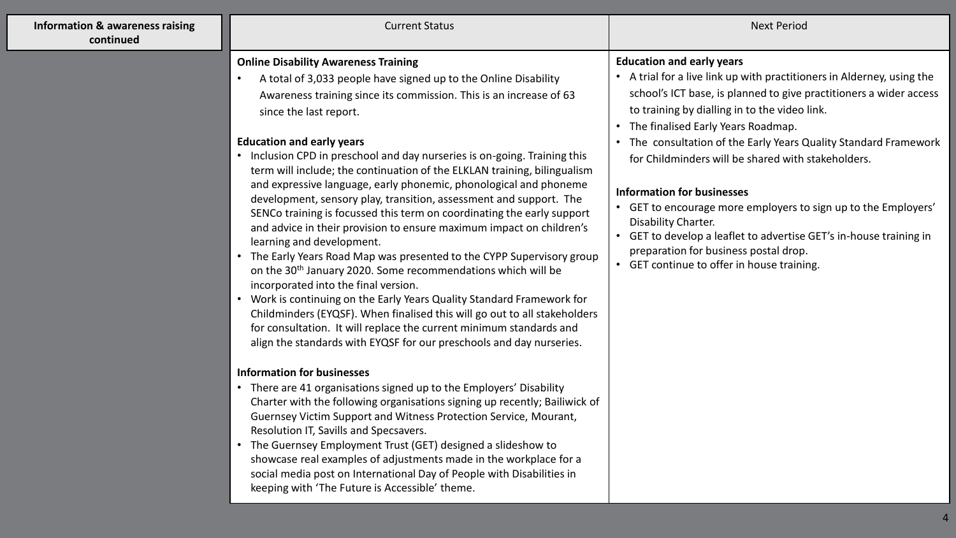| <b>Information &amp; awareness raising</b><br>continued | <b>Current Status</b>                                                                                                                                                                                                                                                                                                                                                                                                                                                                                                                                                                                                                                                                                                                                                                                                                                                                                                                                                                                                                                                                                                                                                                                                                                                                                                                                                                                                                                                                                                                                                                                                                                                                                                                                                                                          | <b>Next Period</b>                                                                                                                                                                                                                                                                                                                                                                                                                                                                                                                                                                                                                                                                             |
|---------------------------------------------------------|----------------------------------------------------------------------------------------------------------------------------------------------------------------------------------------------------------------------------------------------------------------------------------------------------------------------------------------------------------------------------------------------------------------------------------------------------------------------------------------------------------------------------------------------------------------------------------------------------------------------------------------------------------------------------------------------------------------------------------------------------------------------------------------------------------------------------------------------------------------------------------------------------------------------------------------------------------------------------------------------------------------------------------------------------------------------------------------------------------------------------------------------------------------------------------------------------------------------------------------------------------------------------------------------------------------------------------------------------------------------------------------------------------------------------------------------------------------------------------------------------------------------------------------------------------------------------------------------------------------------------------------------------------------------------------------------------------------------------------------------------------------------------------------------------------------|------------------------------------------------------------------------------------------------------------------------------------------------------------------------------------------------------------------------------------------------------------------------------------------------------------------------------------------------------------------------------------------------------------------------------------------------------------------------------------------------------------------------------------------------------------------------------------------------------------------------------------------------------------------------------------------------|
|                                                         | <b>Online Disability Awareness Training</b><br>A total of 3,033 people have signed up to the Online Disability<br>Awareness training since its commission. This is an increase of 63<br>since the last report.<br><b>Education and early years</b><br>• Inclusion CPD in preschool and day nurseries is on-going. Training this<br>term will include; the continuation of the ELKLAN training, bilingualism<br>and expressive language, early phonemic, phonological and phoneme<br>development, sensory play, transition, assessment and support. The<br>SENCo training is focussed this term on coordinating the early support<br>and advice in their provision to ensure maximum impact on children's<br>learning and development.<br>The Early Years Road Map was presented to the CYPP Supervisory group<br>on the 30 <sup>th</sup> January 2020. Some recommendations which will be<br>incorporated into the final version.<br>Work is continuing on the Early Years Quality Standard Framework for<br>Childminders (EYQSF). When finalised this will go out to all stakeholders<br>for consultation. It will replace the current minimum standards and<br>align the standards with EYQSF for our preschools and day nurseries.<br><b>Information for businesses</b><br>• There are 41 organisations signed up to the Employers' Disability<br>Charter with the following organisations signing up recently; Bailiwick of<br>Guernsey Victim Support and Witness Protection Service, Mourant,<br>Resolution IT, Savills and Specsavers.<br>• The Guernsey Employment Trust (GET) designed a slideshow to<br>showcase real examples of adjustments made in the workplace for a<br>social media post on International Day of People with Disabilities in<br>keeping with 'The Future is Accessible' theme. | <b>Education and early years</b><br>• A trial for a live link up with practitioners in Alderney, using the<br>school's ICT base, is planned to give practitioners a wider access<br>to training by dialling in to the video link.<br>• The finalised Early Years Roadmap.<br>• The consultation of the Early Years Quality Standard Framework<br>for Childminders will be shared with stakeholders.<br><b>Information for businesses</b><br>• GET to encourage more employers to sign up to the Employers'<br>Disability Charter.<br>• GET to develop a leaflet to advertise GET's in-house training in<br>preparation for business postal drop.<br>• GET continue to offer in house training. |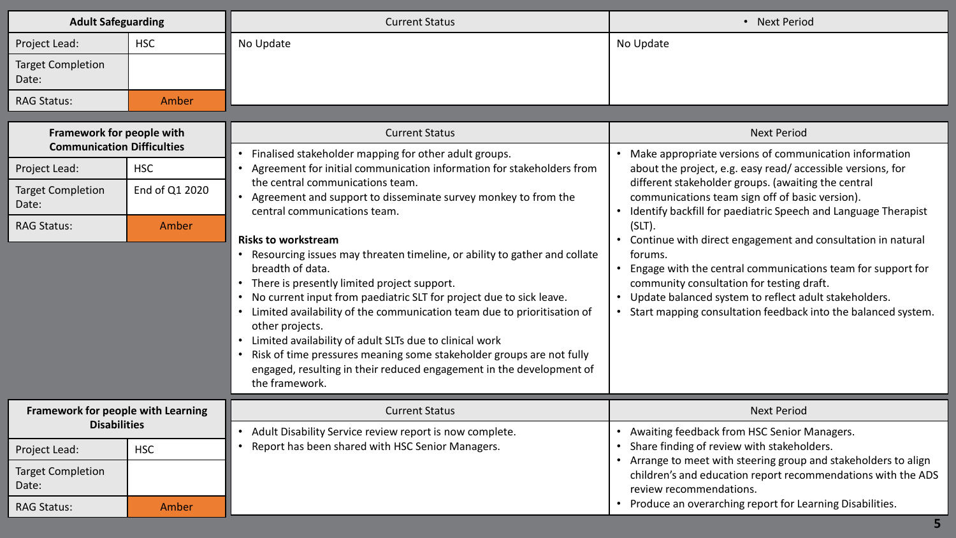| <b>Adult Safeguarding</b>                                      |                                                                                                                                                                                                                                                                                                                                                                                                                                                                                                                                                        | <b>Current Status</b>                                                                                                                | • Next Period                                                                                                                                                                                                                                                                                                   |
|----------------------------------------------------------------|--------------------------------------------------------------------------------------------------------------------------------------------------------------------------------------------------------------------------------------------------------------------------------------------------------------------------------------------------------------------------------------------------------------------------------------------------------------------------------------------------------------------------------------------------------|--------------------------------------------------------------------------------------------------------------------------------------|-----------------------------------------------------------------------------------------------------------------------------------------------------------------------------------------------------------------------------------------------------------------------------------------------------------------|
| Project Lead:                                                  | <b>HSC</b>                                                                                                                                                                                                                                                                                                                                                                                                                                                                                                                                             | No Update                                                                                                                            | No Update                                                                                                                                                                                                                                                                                                       |
| <b>Target Completion</b><br>Date:                              |                                                                                                                                                                                                                                                                                                                                                                                                                                                                                                                                                        |                                                                                                                                      |                                                                                                                                                                                                                                                                                                                 |
| <b>RAG Status:</b>                                             | Amber                                                                                                                                                                                                                                                                                                                                                                                                                                                                                                                                                  |                                                                                                                                      |                                                                                                                                                                                                                                                                                                                 |
| Framework for people with<br><b>Communication Difficulties</b> |                                                                                                                                                                                                                                                                                                                                                                                                                                                                                                                                                        | <b>Current Status</b>                                                                                                                | <b>Next Period</b>                                                                                                                                                                                                                                                                                              |
| Project Lead:                                                  | <b>HSC</b>                                                                                                                                                                                                                                                                                                                                                                                                                                                                                                                                             | Finalised stakeholder mapping for other adult groups.<br>Agreement for initial communication information for stakeholders from       | • Make appropriate versions of communication information<br>about the project, e.g. easy read/accessible versions, for<br>different stakeholder groups. (awaiting the central<br>communications team sign off of basic version).<br>Identify backfill for paediatric Speech and Language Therapist<br>$(SLT)$ . |
| <b>Target Completion</b><br>Date:                              | End of Q1 2020                                                                                                                                                                                                                                                                                                                                                                                                                                                                                                                                         | the central communications team.<br>• Agreement and support to disseminate survey monkey to from the<br>central communications team. |                                                                                                                                                                                                                                                                                                                 |
| <b>RAG Status:</b>                                             | Amber                                                                                                                                                                                                                                                                                                                                                                                                                                                                                                                                                  | <b>Risks to workstream</b>                                                                                                           |                                                                                                                                                                                                                                                                                                                 |
|                                                                | • Resourcing issues may threaten timeline, or ability to gather and collate<br>breadth of data.<br>• There is presently limited project support.<br>• No current input from paediatric SLT for project due to sick leave.<br>• Limited availability of the communication team due to prioritisation of<br>other projects.<br>Limited availability of adult SLTs due to clinical work<br>Risk of time pressures meaning some stakeholder groups are not fully<br>engaged, resulting in their reduced engagement in the development of<br>the framework. |                                                                                                                                      | Continue with direct engagement and consultation in natural<br>forums.<br>Engage with the central communications team for support for<br>community consultation for testing draft.<br>Update balanced system to reflect adult stakeholders.<br>Start mapping consultation feedback into the balanced system.    |
| Framework for people with Learning                             |                                                                                                                                                                                                                                                                                                                                                                                                                                                                                                                                                        | <b>Current Status</b>                                                                                                                | <b>Next Period</b>                                                                                                                                                                                                                                                                                              |
| <b>Disabilities</b>                                            |                                                                                                                                                                                                                                                                                                                                                                                                                                                                                                                                                        | Adult Disability Service review report is now complete.                                                                              | Awaiting feedback from HSC Senior Managers.                                                                                                                                                                                                                                                                     |
| Project Lead:                                                  | <b>HSC</b>                                                                                                                                                                                                                                                                                                                                                                                                                                                                                                                                             | Report has been shared with HSC Senior Managers.<br>$\bullet$                                                                        | Share finding of review with stakeholders.<br>Arrange to meet with steering group and stakeholders to align                                                                                                                                                                                                     |
| <b>Target Completion</b><br>Date:                              |                                                                                                                                                                                                                                                                                                                                                                                                                                                                                                                                                        |                                                                                                                                      | children's and education report recommendations with the ADS<br>review recommendations.                                                                                                                                                                                                                         |
| <b>RAG Status:</b>                                             | Amber                                                                                                                                                                                                                                                                                                                                                                                                                                                                                                                                                  |                                                                                                                                      | Produce an overarching report for Learning Disabilities.                                                                                                                                                                                                                                                        |

**5**